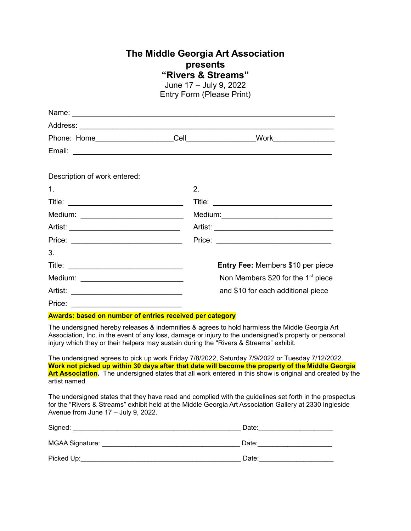## **The Middle Georgia Art Association presents "Rivers & Streams"**

June 17 – July 9, 2022 Entry Form (Please Print)

| Name: <u>Name: Name: Name: Name: Name: Name: Name: Name: Name: Name: Name: Name: Name: Name: Name: Name: Name: Na</u> |                |                                                |
|-----------------------------------------------------------------------------------------------------------------------|----------------|------------------------------------------------|
|                                                                                                                       |                |                                                |
| Phone: Home_____________________                                                                                      |                | Cell__________________<br>Work _______________ |
|                                                                                                                       |                |                                                |
| Description of work entered:                                                                                          |                |                                                |
| $\mathbf{1}$ .                                                                                                        | $\mathbf{2}$ . |                                                |
|                                                                                                                       |                |                                                |
| Medium: ______________________________                                                                                |                |                                                |
|                                                                                                                       |                |                                                |
|                                                                                                                       |                | Price: <u>______________________</u>           |
| 3.                                                                                                                    |                |                                                |
|                                                                                                                       |                | Entry Fee: Members \$10 per piece              |
| Medium: __________________________                                                                                    |                | Non Members \$20 for the 1 <sup>st</sup> piece |
|                                                                                                                       |                | and \$10 for each additional piece             |
| Price:                                                                                                                |                |                                                |

**Awards: based on number of entries received per category**

The undersigned hereby releases & indemnifies & agrees to hold harmless the Middle Georgia Art Association, Inc. in the event of any loss, damage or injury to the undersigned's property or personal injury which they or their helpers may sustain during the "Rivers & Streams" exhibit.

The undersigned agrees to pick up work Friday 7/8/2022, Saturday 7/9/2022 or Tuesday 7/12/2022. **Work not picked up within 30 days after that date will become the property of the Middle Georgia Art Association.** The undersigned states that all work entered in this show is original and created by the artist named.

The undersigned states that they have read and complied with the guidelines set forth in the prospectus for the "Rivers & Streams" exhibit held at the Middle Georgia Art Association Gallery at 2330 Ingleside Avenue from June 17 – July 9, 2022.

| Signed:         | Date: |
|-----------------|-------|
| MGAA Signature: | Date: |
| Picked Up:      | Date: |